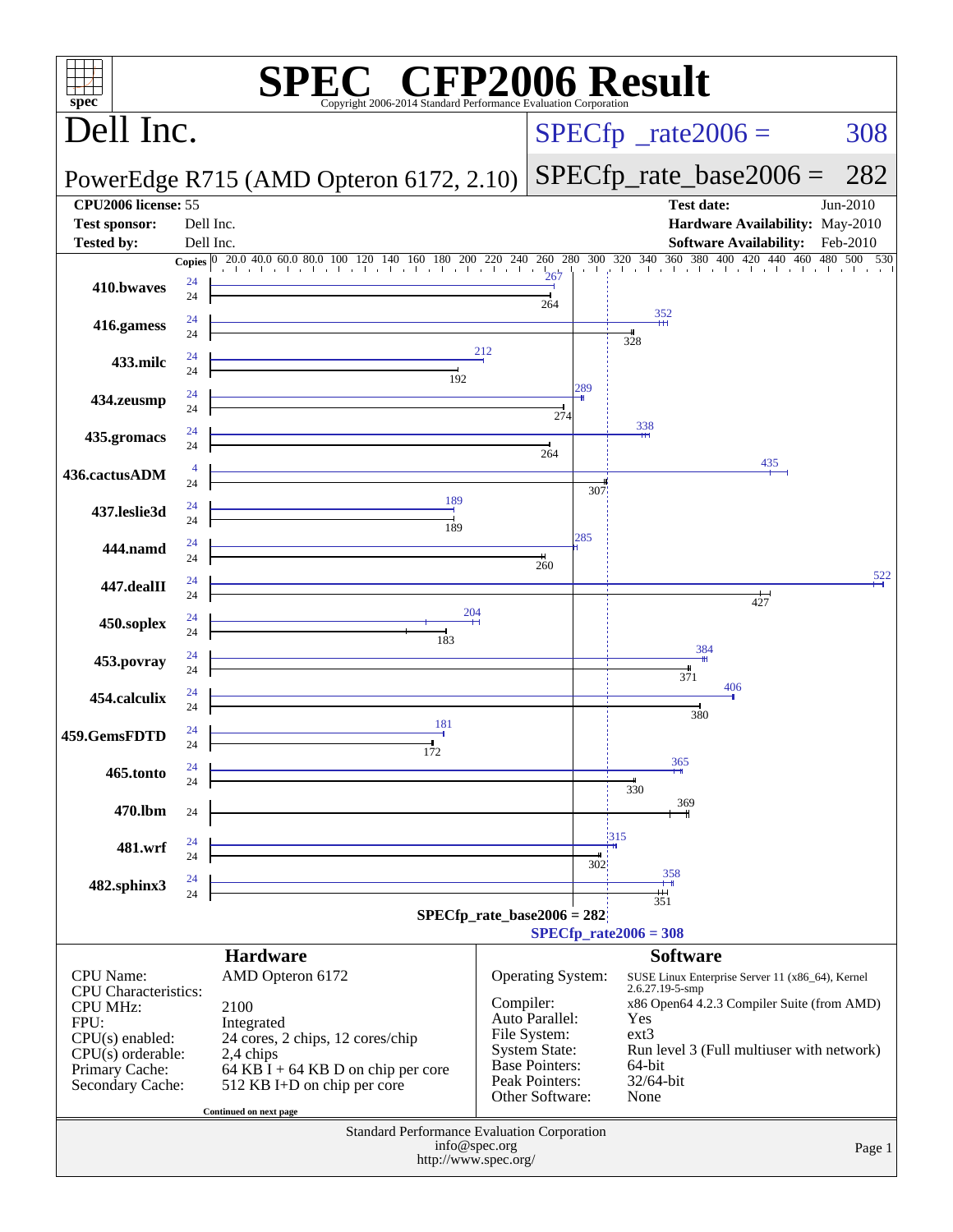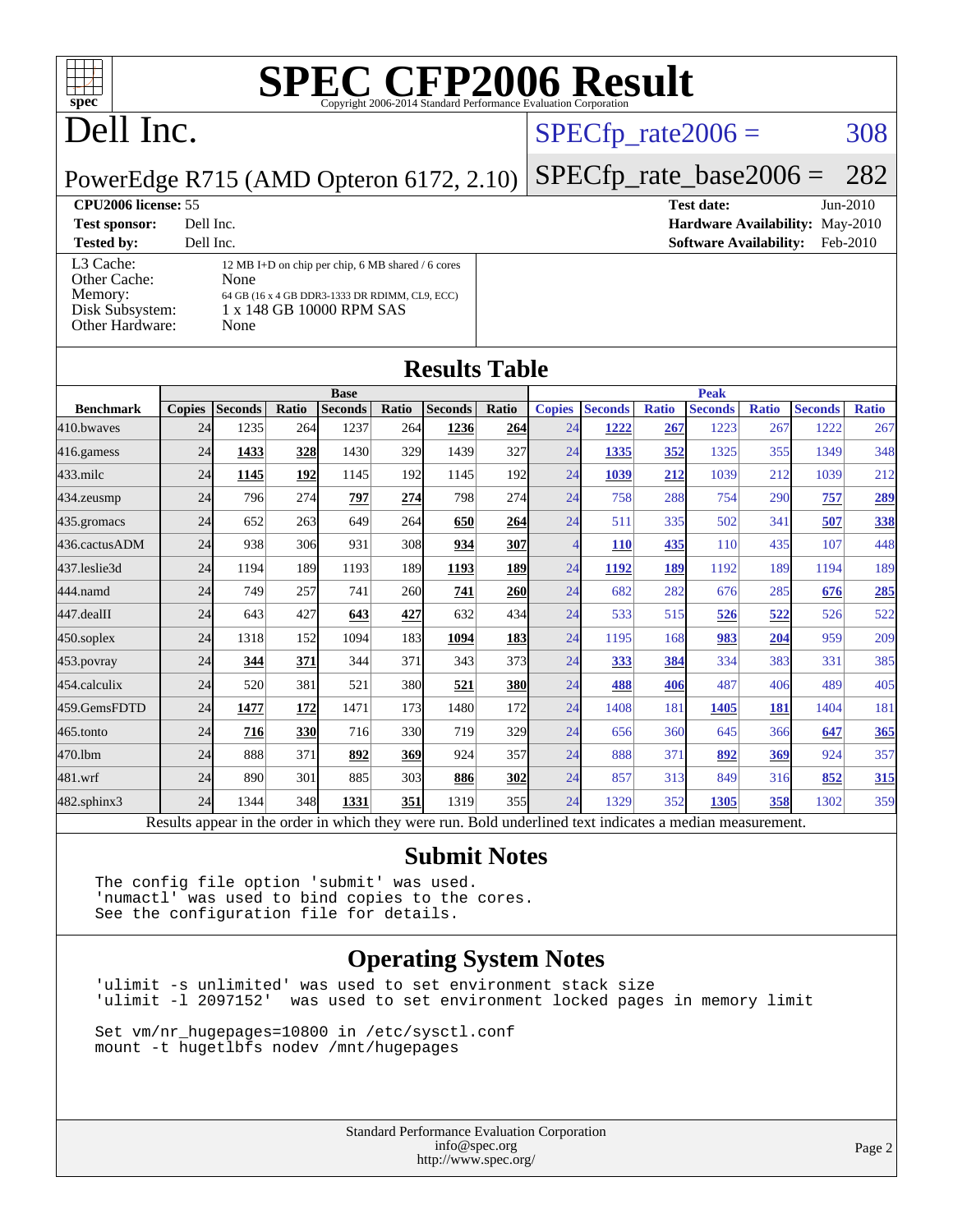

## Dell Inc.

### $SPECTp_rate2006 = 308$

**[Hardware Availability:](http://www.spec.org/auto/cpu2006/Docs/result-fields.html#HardwareAvailability)** May-2010 **[Software Availability:](http://www.spec.org/auto/cpu2006/Docs/result-fields.html#SoftwareAvailability)** Feb-2010

PowerEdge R715 (AMD Opteron 6172, 2.10) [SPECfp\\_rate\\_base2006 =](http://www.spec.org/auto/cpu2006/Docs/result-fields.html#SPECfpratebase2006) 282

### **[CPU2006 license:](http://www.spec.org/auto/cpu2006/Docs/result-fields.html#CPU2006license)** 55 **[Test date:](http://www.spec.org/auto/cpu2006/Docs/result-fields.html#Testdate)** Jun-2010

| <b>Test sponsor:</b>                                                       | Dell Inc.                                                                                                                                       |
|----------------------------------------------------------------------------|-------------------------------------------------------------------------------------------------------------------------------------------------|
| <b>Tested by:</b>                                                          | Dell Inc.                                                                                                                                       |
| L3 Cache:<br>Other Cache:<br>Memory:<br>Disk Subsystem:<br>Other Hardware: | 12 MB I+D on chip per chip, 6 MB shared / 6 cores<br>None<br>64 GB (16 x 4 GB DDR3-1333 DR RDIMM, CL9, ECC)<br>1 x 148 GB 10000 RPM SAS<br>None |

**[Results Table](http://www.spec.org/auto/cpu2006/Docs/result-fields.html#ResultsTable)**

| <b>Copies</b><br>24<br>24<br>24<br>24<br>24<br>24 | <b>Seconds</b><br>1235<br>1433<br>1145<br>796<br>652 | Ratio<br>264<br>328<br>192<br>274 | <b>Seconds</b><br>1237<br>1430<br>1145<br>797                                                            | Ratio<br><b>264</b><br>329<br>192 | <b>Seconds</b><br>1236<br>1439<br>1145 | Ratio<br>264<br>327                                                 | <b>Copies</b><br>24<br>24 | <b>Seconds</b><br>1222<br>1335                                                   | <b>Ratio</b><br>267<br>352 | <b>Seconds</b><br>1223 | <b>Ratio</b><br>267 | <b>Seconds</b><br>1222 | <b>Ratio</b>                                  |
|---------------------------------------------------|------------------------------------------------------|-----------------------------------|----------------------------------------------------------------------------------------------------------|-----------------------------------|----------------------------------------|---------------------------------------------------------------------|---------------------------|----------------------------------------------------------------------------------|----------------------------|------------------------|---------------------|------------------------|-----------------------------------------------|
|                                                   |                                                      |                                   |                                                                                                          |                                   |                                        |                                                                     |                           |                                                                                  |                            |                        |                     |                        | 267                                           |
|                                                   |                                                      |                                   |                                                                                                          |                                   |                                        |                                                                     |                           |                                                                                  |                            |                        |                     |                        |                                               |
|                                                   |                                                      |                                   |                                                                                                          |                                   |                                        |                                                                     |                           |                                                                                  |                            | 1325                   | 355                 | 1349                   | 348                                           |
|                                                   |                                                      |                                   |                                                                                                          |                                   |                                        | 192 <sup>1</sup>                                                    | 24                        | 1039                                                                             | 212                        | 1039                   | 212                 | 1039                   | 212                                           |
|                                                   |                                                      |                                   |                                                                                                          | 274                               | 798                                    | 274                                                                 | 24                        | 758                                                                              | 288                        | 754                    | 290                 | 757                    | 289                                           |
|                                                   |                                                      | 263                               | 649                                                                                                      | 264                               | 650                                    | 264                                                                 | 24                        | 511                                                                              | 335                        | 502                    | 341                 | 507                    | 338                                           |
|                                                   | 938                                                  | 306                               | 931                                                                                                      | 308                               | 934                                    | <u>307</u>                                                          | $\overline{4}$            | <b>110</b>                                                                       | 435                        | 110                    | 435                 | 107                    | 448                                           |
| 24                                                | 1194                                                 | 189                               | 1193                                                                                                     | 189                               | 1193                                   | <b>189</b>                                                          | 24                        | 1192                                                                             | 189                        | 1192                   | 189                 | 1194                   | 189                                           |
| 24                                                | 749                                                  | 257                               | 741                                                                                                      |                                   | 741                                    |                                                                     | 24                        | 682                                                                              | 282                        | 676                    | 285                 | 676                    | 285                                           |
| 24                                                | 643                                                  | 427                               | 643                                                                                                      |                                   | 632                                    |                                                                     | 24                        | 533                                                                              | 515                        | 526                    |                     | 526                    | 522                                           |
| 24                                                | 1318                                                 |                                   | 1094                                                                                                     |                                   | 1094                                   |                                                                     | 24                        | 1195                                                                             | 168                        | 983                    |                     | 959                    | 209                                           |
| 24                                                | 344                                                  | 371                               | 344                                                                                                      | 371                               | 343                                    |                                                                     |                           | 333                                                                              |                            | 334                    |                     | 331                    | 385                                           |
| 24                                                | 520                                                  | 381                               | 521                                                                                                      |                                   | 521                                    |                                                                     | 24                        | 488                                                                              |                            | 487                    |                     | 489                    | 405                                           |
| 24                                                | 1477                                                 |                                   | 1471                                                                                                     |                                   | 1480                                   | 172                                                                 | 24                        | 1408                                                                             | 181                        | 1405                   | 181                 | 1404                   | 181                                           |
| 24                                                | 716                                                  |                                   | 716                                                                                                      |                                   | 719                                    |                                                                     | 24                        | 656                                                                              | 360                        | 645                    | 366                 | 647                    | 365                                           |
| 24                                                | 888                                                  | 371                               | 892                                                                                                      |                                   | 924                                    | 357                                                                 | 24                        | 888                                                                              | 371                        | 892                    |                     | 924                    | 357                                           |
| 24                                                | 890                                                  | 301                               | 885                                                                                                      |                                   | 886                                    |                                                                     | 24                        | 857                                                                              | 313                        | 849                    |                     | 852                    | 315                                           |
| 24                                                | 1344                                                 |                                   | 1331                                                                                                     |                                   | 1319                                   |                                                                     | 24                        | 1329                                                                             | 352                        | 1305                   |                     | 1302                   | 359                                           |
|                                                   |                                                      |                                   | Results appear in the order in which they were run. Bold underlined text indicates a median measurement. | 152<br>172<br>330<br>348          |                                        | 260<br>427<br>183<br><b>380</b><br>173<br>330l<br>369<br>303<br>351 |                           | <b>260</b><br>434<br><u>183</u><br>373<br><u>380</u><br>329<br><b>302</b><br>355 | 24                         |                        | 384<br>406          |                        | 522<br>204<br>383<br>406<br>369<br>316<br>358 |

### **[Submit Notes](http://www.spec.org/auto/cpu2006/Docs/result-fields.html#SubmitNotes)**

The config file option 'submit' was used. 'numactl' was used to bind copies to the cores. See the configuration file for details.

### **[Operating System Notes](http://www.spec.org/auto/cpu2006/Docs/result-fields.html#OperatingSystemNotes)**

'ulimit -s unlimited' was used to set environment stack size 'ulimit -l 2097152' was used to set environment locked pages in memory limit

Set vm/nr\_hugepages=10800 in /etc/sysctl.conf mount -t hugetlbfs nodev /mnt/hugepages

> Standard Performance Evaluation Corporation [info@spec.org](mailto:info@spec.org) <http://www.spec.org/>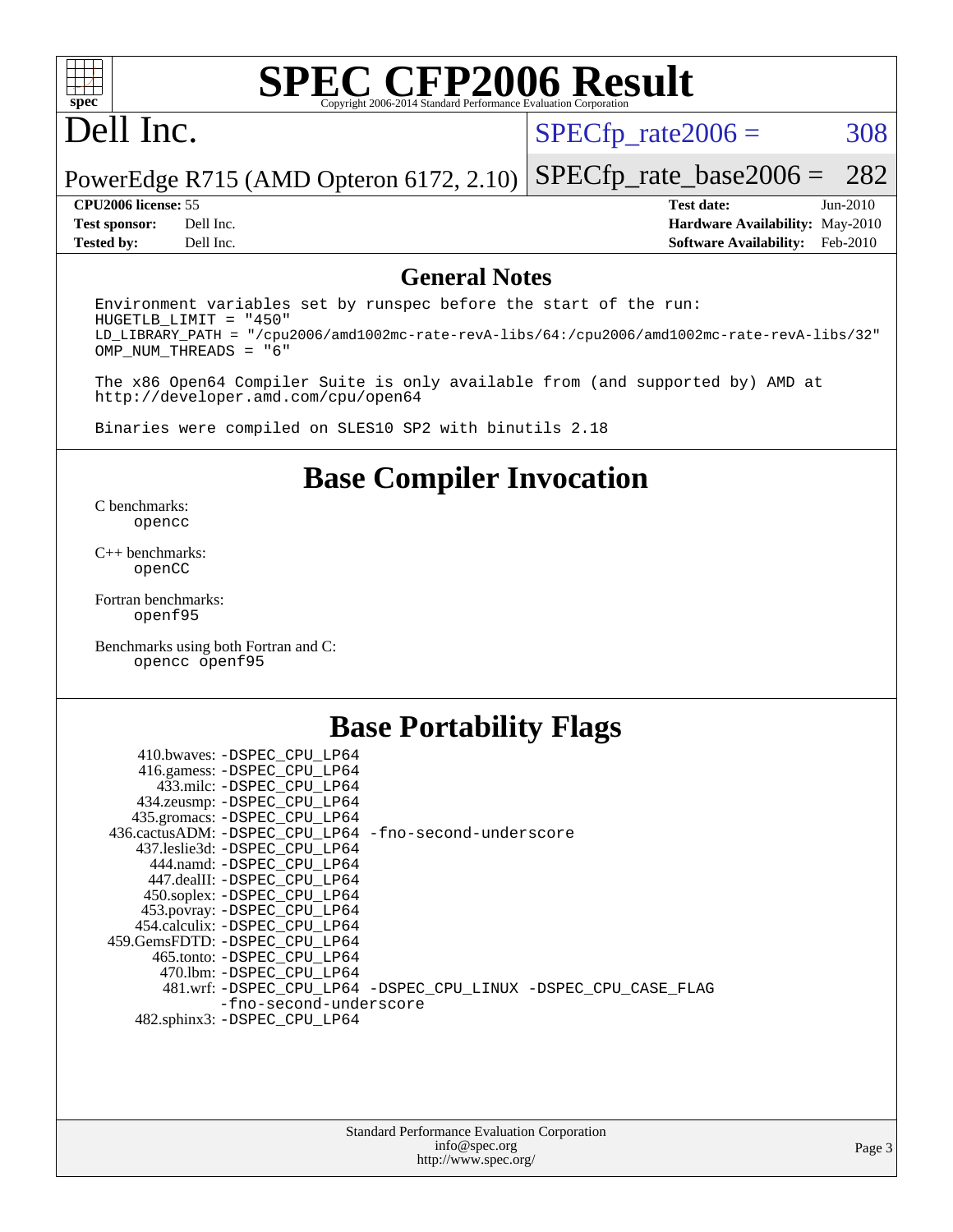

## Dell Inc.

 $SPECTp_rate2006 = 308$ 

### PowerEdge R715 (AMD Opteron 6172, 2.10) [SPECfp\\_rate\\_base2006 =](http://www.spec.org/auto/cpu2006/Docs/result-fields.html#SPECfpratebase2006) 282

**[CPU2006 license:](http://www.spec.org/auto/cpu2006/Docs/result-fields.html#CPU2006license)** 55 **[Test date:](http://www.spec.org/auto/cpu2006/Docs/result-fields.html#Testdate)** Jun-2010 **[Test sponsor:](http://www.spec.org/auto/cpu2006/Docs/result-fields.html#Testsponsor)** Dell Inc. **[Hardware Availability:](http://www.spec.org/auto/cpu2006/Docs/result-fields.html#HardwareAvailability)** May-2010 **[Tested by:](http://www.spec.org/auto/cpu2006/Docs/result-fields.html#Testedby)** Dell Inc. **[Software Availability:](http://www.spec.org/auto/cpu2006/Docs/result-fields.html#SoftwareAvailability)** Feb-2010

### **[General Notes](http://www.spec.org/auto/cpu2006/Docs/result-fields.html#GeneralNotes)**

Environment variables set by runspec before the start of the run: HUGETLB\_LIMIT = "450" LD\_LIBRARY\_PATH = "/cpu2006/amd1002mc-rate-revA-libs/64:/cpu2006/amd1002mc-rate-revA-libs/32" OMP\_NUM\_THREADS = "6"

The x86 Open64 Compiler Suite is only available from (and supported by) AMD at <http://developer.amd.com/cpu/open64>

Binaries were compiled on SLES10 SP2 with binutils 2.18

### **[Base Compiler Invocation](http://www.spec.org/auto/cpu2006/Docs/result-fields.html#BaseCompilerInvocation)**

[C benchmarks](http://www.spec.org/auto/cpu2006/Docs/result-fields.html#Cbenchmarks): [opencc](http://www.spec.org/cpu2006/results/res2010q3/cpu2006-20100705-12192.flags.html#user_CCbase_Fopencc)

[C++ benchmarks:](http://www.spec.org/auto/cpu2006/Docs/result-fields.html#CXXbenchmarks) [openCC](http://www.spec.org/cpu2006/results/res2010q3/cpu2006-20100705-12192.flags.html#user_CXXbase_FopenCC)

[Fortran benchmarks](http://www.spec.org/auto/cpu2006/Docs/result-fields.html#Fortranbenchmarks): [openf95](http://www.spec.org/cpu2006/results/res2010q3/cpu2006-20100705-12192.flags.html#user_FCbase_Fopenf95)

[Benchmarks using both Fortran and C](http://www.spec.org/auto/cpu2006/Docs/result-fields.html#BenchmarksusingbothFortranandC): [opencc](http://www.spec.org/cpu2006/results/res2010q3/cpu2006-20100705-12192.flags.html#user_CC_FCbase_Fopencc) [openf95](http://www.spec.org/cpu2006/results/res2010q3/cpu2006-20100705-12192.flags.html#user_CC_FCbase_Fopenf95)

### **[Base Portability Flags](http://www.spec.org/auto/cpu2006/Docs/result-fields.html#BasePortabilityFlags)**

| 410.bwaves: -DSPEC_CPU LP64                           |                                                                |
|-------------------------------------------------------|----------------------------------------------------------------|
| 416.gamess: - DSPEC_CPU_LP64                          |                                                                |
| 433.milc: -DSPEC CPU LP64                             |                                                                |
| 434.zeusmp: - DSPEC_CPU_LP64                          |                                                                |
| 435.gromacs: - DSPEC_CPU_LP64                         |                                                                |
| 436.cactusADM: -DSPEC CPU LP64 -fno-second-underscore |                                                                |
| 437.leslie3d: -DSPEC CPU LP64                         |                                                                |
| 444.namd: -DSPEC CPU LP64                             |                                                                |
| 447.dealII: -DSPEC CPU LP64                           |                                                                |
| 450.soplex: -DSPEC_CPU_LP64                           |                                                                |
| 453.povray: -DSPEC_CPU_LP64                           |                                                                |
| 454.calculix: -DSPEC CPU LP64                         |                                                                |
| 459. GemsFDTD: - DSPEC CPU LP64                       |                                                                |
| 465.tonto: - DSPEC CPU LP64                           |                                                                |
| 470.1bm: - DSPEC CPU LP64                             |                                                                |
|                                                       | 481.wrf: -DSPEC_CPU_LP64 -DSPEC_CPU_LINUX -DSPEC_CPU_CASE_FLAG |
| -fno-second-underscore                                |                                                                |
| 482.sphinx3: -DSPEC CPU LP64                          |                                                                |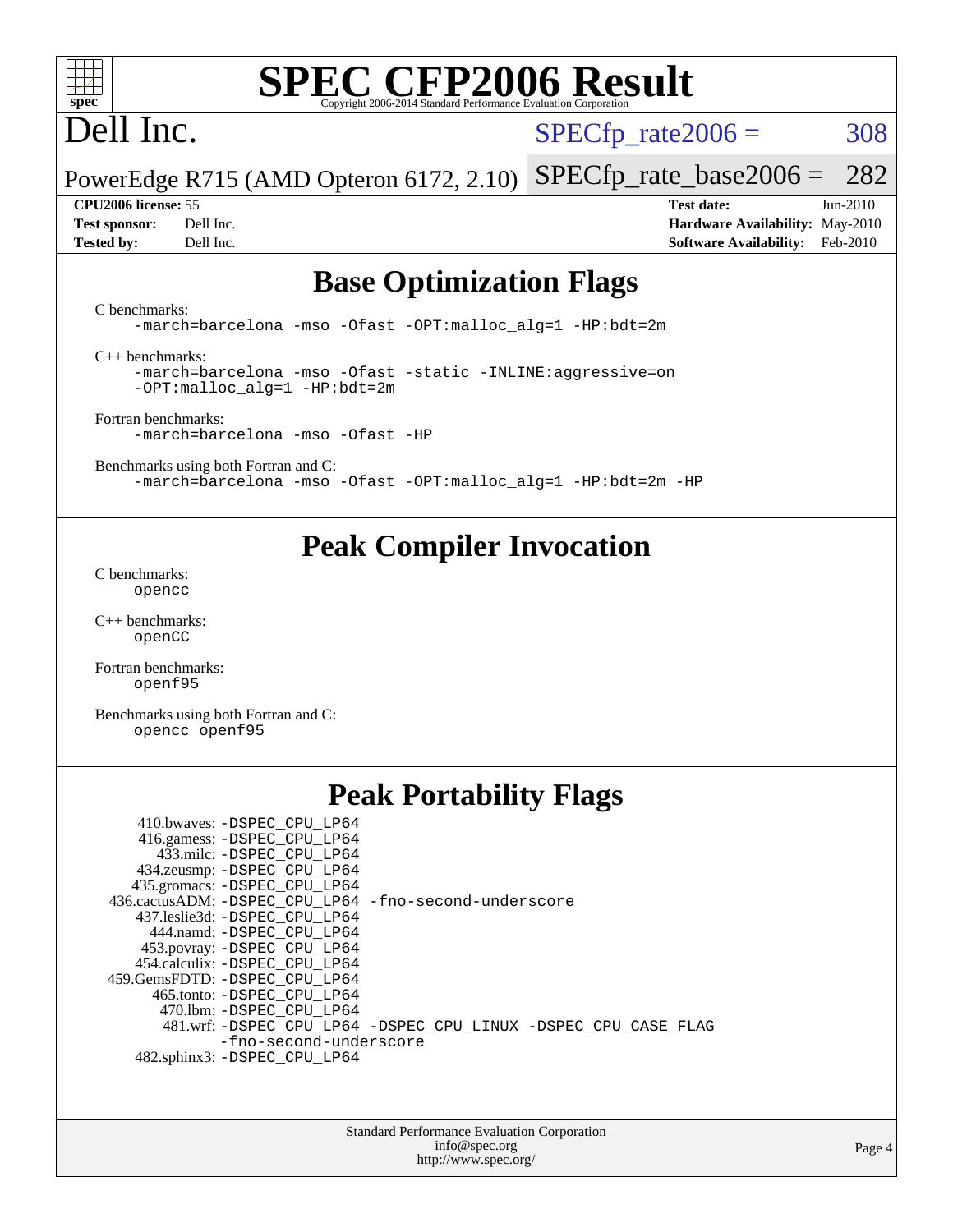

# Dell Inc.

 $SPECTp_rate2006 = 308$ 

PowerEdge R715 (AMD Opteron 6172, 2.10) [SPECfp\\_rate\\_base2006 =](http://www.spec.org/auto/cpu2006/Docs/result-fields.html#SPECfpratebase2006) 282

**[CPU2006 license:](http://www.spec.org/auto/cpu2006/Docs/result-fields.html#CPU2006license)** 55 **[Test date:](http://www.spec.org/auto/cpu2006/Docs/result-fields.html#Testdate)** Jun-2010 **[Test sponsor:](http://www.spec.org/auto/cpu2006/Docs/result-fields.html#Testsponsor)** Dell Inc. **[Hardware Availability:](http://www.spec.org/auto/cpu2006/Docs/result-fields.html#HardwareAvailability)** May-2010 **[Tested by:](http://www.spec.org/auto/cpu2006/Docs/result-fields.html#Testedby)** Dell Inc. **[Software Availability:](http://www.spec.org/auto/cpu2006/Docs/result-fields.html#SoftwareAvailability)** Feb-2010

### **[Base Optimization Flags](http://www.spec.org/auto/cpu2006/Docs/result-fields.html#BaseOptimizationFlags)**

[C benchmarks](http://www.spec.org/auto/cpu2006/Docs/result-fields.html#Cbenchmarks):

[-march=barcelona](http://www.spec.org/cpu2006/results/res2010q3/cpu2006-20100705-12192.flags.html#user_CCbase_F-march_8ea39521cada96f307a04d0b8b9c6ffb) [-mso](http://www.spec.org/cpu2006/results/res2010q3/cpu2006-20100705-12192.flags.html#user_CCbase_F-mso) [-Ofast](http://www.spec.org/cpu2006/results/res2010q3/cpu2006-20100705-12192.flags.html#user_CCbase_F-Ofast) [-OPT:malloc\\_alg=1](http://www.spec.org/cpu2006/results/res2010q3/cpu2006-20100705-12192.flags.html#user_CCbase_F-OPT:malloc_algorithm_58733815edefaa612c2ed769b716daa0) [-HP:bdt=2m](http://www.spec.org/cpu2006/results/res2010q3/cpu2006-20100705-12192.flags.html#user_CCbase_F-HUGEPAGE_99eaea9f74400395f9f16774d1aed5d7)

[C++ benchmarks:](http://www.spec.org/auto/cpu2006/Docs/result-fields.html#CXXbenchmarks)

[-march=barcelona](http://www.spec.org/cpu2006/results/res2010q3/cpu2006-20100705-12192.flags.html#user_CXXbase_F-march_8ea39521cada96f307a04d0b8b9c6ffb) [-mso](http://www.spec.org/cpu2006/results/res2010q3/cpu2006-20100705-12192.flags.html#user_CXXbase_F-mso) [-Ofast](http://www.spec.org/cpu2006/results/res2010q3/cpu2006-20100705-12192.flags.html#user_CXXbase_F-Ofast) [-static](http://www.spec.org/cpu2006/results/res2010q3/cpu2006-20100705-12192.flags.html#user_CXXbase_F-static) [-INLINE:aggressive=on](http://www.spec.org/cpu2006/results/res2010q3/cpu2006-20100705-12192.flags.html#user_CXXbase_F-INLINE:aggressive_e14807c0a1e56a6a83cb25ab07c7ae8a) [-OPT:malloc\\_alg=1](http://www.spec.org/cpu2006/results/res2010q3/cpu2006-20100705-12192.flags.html#user_CXXbase_F-OPT:malloc_algorithm_58733815edefaa612c2ed769b716daa0) [-HP:bdt=2m](http://www.spec.org/cpu2006/results/res2010q3/cpu2006-20100705-12192.flags.html#user_CXXbase_F-HUGEPAGE_99eaea9f74400395f9f16774d1aed5d7)

[Fortran benchmarks](http://www.spec.org/auto/cpu2006/Docs/result-fields.html#Fortranbenchmarks): [-march=barcelona](http://www.spec.org/cpu2006/results/res2010q3/cpu2006-20100705-12192.flags.html#user_FCbase_F-march_8ea39521cada96f307a04d0b8b9c6ffb) [-mso](http://www.spec.org/cpu2006/results/res2010q3/cpu2006-20100705-12192.flags.html#user_FCbase_F-mso) [-Ofast](http://www.spec.org/cpu2006/results/res2010q3/cpu2006-20100705-12192.flags.html#user_FCbase_F-Ofast) [-HP](http://www.spec.org/cpu2006/results/res2010q3/cpu2006-20100705-12192.flags.html#user_FCbase_F-HUGEPAGE_5df7ddc958063186306345596c5e7dc3)

[Benchmarks using both Fortran and C](http://www.spec.org/auto/cpu2006/Docs/result-fields.html#BenchmarksusingbothFortranandC): [-march=barcelona](http://www.spec.org/cpu2006/results/res2010q3/cpu2006-20100705-12192.flags.html#user_CC_FCbase_F-march_8ea39521cada96f307a04d0b8b9c6ffb) [-mso](http://www.spec.org/cpu2006/results/res2010q3/cpu2006-20100705-12192.flags.html#user_CC_FCbase_F-mso) [-Ofast](http://www.spec.org/cpu2006/results/res2010q3/cpu2006-20100705-12192.flags.html#user_CC_FCbase_F-Ofast) [-OPT:malloc\\_alg=1](http://www.spec.org/cpu2006/results/res2010q3/cpu2006-20100705-12192.flags.html#user_CC_FCbase_F-OPT:malloc_algorithm_58733815edefaa612c2ed769b716daa0) [-HP:bdt=2m](http://www.spec.org/cpu2006/results/res2010q3/cpu2006-20100705-12192.flags.html#user_CC_FCbase_F-HUGEPAGE_99eaea9f74400395f9f16774d1aed5d7) [-HP](http://www.spec.org/cpu2006/results/res2010q3/cpu2006-20100705-12192.flags.html#user_CC_FCbase_F-HUGEPAGE_5df7ddc958063186306345596c5e7dc3)

### **[Peak Compiler Invocation](http://www.spec.org/auto/cpu2006/Docs/result-fields.html#PeakCompilerInvocation)**

[C benchmarks](http://www.spec.org/auto/cpu2006/Docs/result-fields.html#Cbenchmarks): [opencc](http://www.spec.org/cpu2006/results/res2010q3/cpu2006-20100705-12192.flags.html#user_CCpeak_Fopencc)

[C++ benchmarks:](http://www.spec.org/auto/cpu2006/Docs/result-fields.html#CXXbenchmarks) [openCC](http://www.spec.org/cpu2006/results/res2010q3/cpu2006-20100705-12192.flags.html#user_CXXpeak_FopenCC)

[Fortran benchmarks](http://www.spec.org/auto/cpu2006/Docs/result-fields.html#Fortranbenchmarks): [openf95](http://www.spec.org/cpu2006/results/res2010q3/cpu2006-20100705-12192.flags.html#user_FCpeak_Fopenf95)

[Benchmarks using both Fortran and C](http://www.spec.org/auto/cpu2006/Docs/result-fields.html#BenchmarksusingbothFortranandC): [opencc](http://www.spec.org/cpu2006/results/res2010q3/cpu2006-20100705-12192.flags.html#user_CC_FCpeak_Fopencc) [openf95](http://www.spec.org/cpu2006/results/res2010q3/cpu2006-20100705-12192.flags.html#user_CC_FCpeak_Fopenf95)

## **[Peak Portability Flags](http://www.spec.org/auto/cpu2006/Docs/result-fields.html#PeakPortabilityFlags)**

| 410.bwaves: -DSPEC CPU LP64                           |                                                                |
|-------------------------------------------------------|----------------------------------------------------------------|
| 416.gamess: -DSPEC_CPU_LP64                           |                                                                |
| 433.milc: -DSPEC CPU LP64                             |                                                                |
| 434.zeusmp: - DSPEC_CPU_LP64                          |                                                                |
| 435.gromacs: -DSPEC_CPU_LP64                          |                                                                |
| 436.cactusADM: -DSPEC CPU LP64 -fno-second-underscore |                                                                |
| 437.leslie3d: -DSPEC CPU LP64                         |                                                                |
| 444.namd: -DSPEC CPU LP64                             |                                                                |
| 453.povray: -DSPEC_CPU_LP64                           |                                                                |
| 454.calculix: -DSPEC CPU LP64                         |                                                                |
| 459.GemsFDTD: -DSPEC CPU LP64                         |                                                                |
| 465.tonto: - DSPEC CPU LP64                           |                                                                |
| 470.1bm: - DSPEC_CPU LP64                             |                                                                |
|                                                       | 481.wrf: -DSPEC_CPU_LP64 -DSPEC_CPU_LINUX -DSPEC_CPU_CASE_FLAG |
| -fno-second-underscore                                |                                                                |
| 482.sphinx3: -DSPEC CPU LP64                          |                                                                |

Standard Performance Evaluation Corporation [info@spec.org](mailto:info@spec.org) <http://www.spec.org/>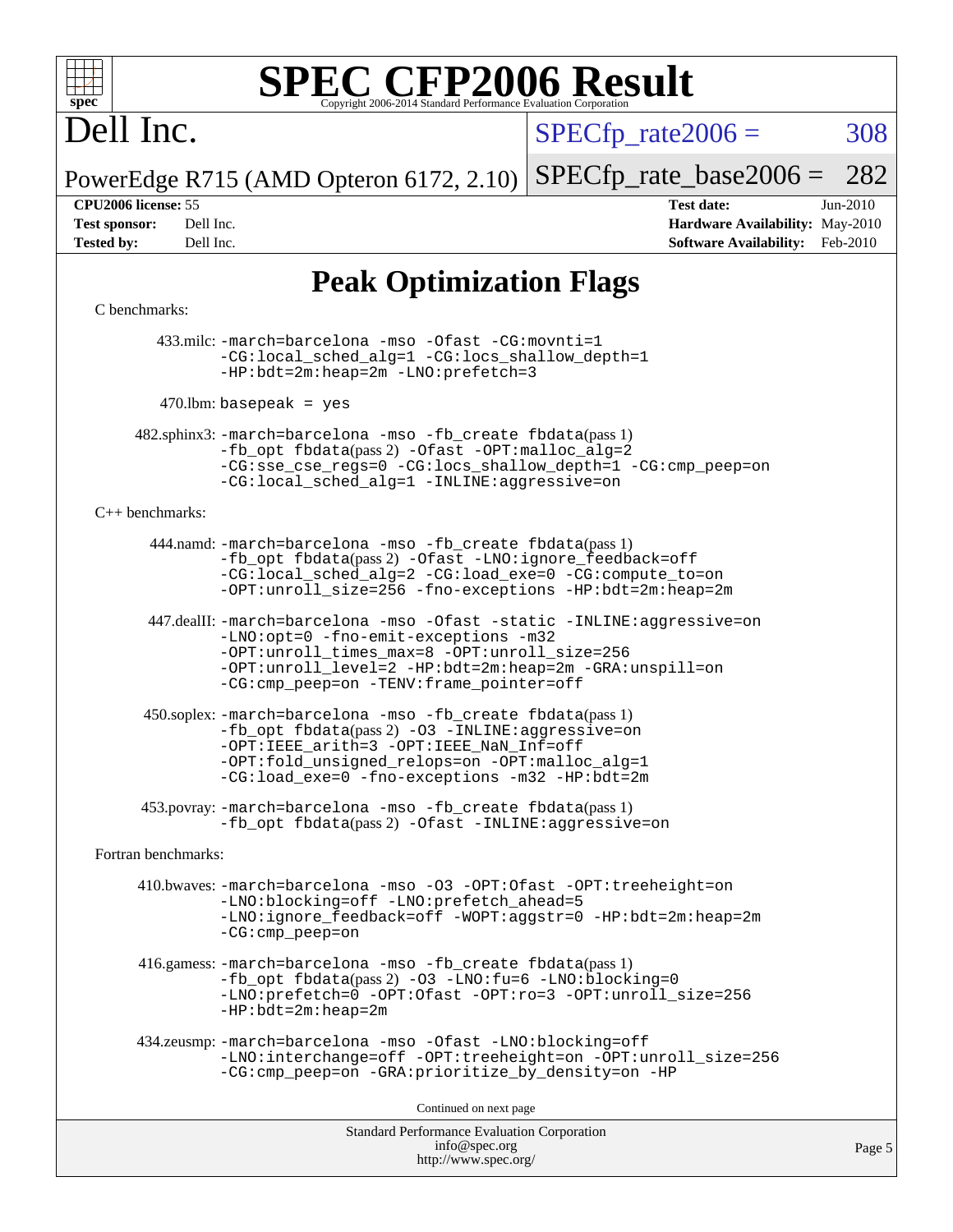

# Dell Inc.

 $SPECTp\_rate2006 = 308$ 

PowerEdge R715 (AMD Opteron 6172, 2.10) [SPECfp\\_rate\\_base2006 =](http://www.spec.org/auto/cpu2006/Docs/result-fields.html#SPECfpratebase2006) 282

**[CPU2006 license:](http://www.spec.org/auto/cpu2006/Docs/result-fields.html#CPU2006license)** 55 **[Test date:](http://www.spec.org/auto/cpu2006/Docs/result-fields.html#Testdate)** Jun-2010 **[Test sponsor:](http://www.spec.org/auto/cpu2006/Docs/result-fields.html#Testsponsor)** Dell Inc. **[Hardware Availability:](http://www.spec.org/auto/cpu2006/Docs/result-fields.html#HardwareAvailability)** May-2010 **[Tested by:](http://www.spec.org/auto/cpu2006/Docs/result-fields.html#Testedby)** Dell Inc. **[Software Availability:](http://www.spec.org/auto/cpu2006/Docs/result-fields.html#SoftwareAvailability)** Feb-2010

## **[Peak Optimization Flags](http://www.spec.org/auto/cpu2006/Docs/result-fields.html#PeakOptimizationFlags)**

### [C benchmarks](http://www.spec.org/auto/cpu2006/Docs/result-fields.html#Cbenchmarks):

 433.milc: [-march=barcelona](http://www.spec.org/cpu2006/results/res2010q3/cpu2006-20100705-12192.flags.html#user_peakCCLD433_milc_F-march_8ea39521cada96f307a04d0b8b9c6ffb) [-mso](http://www.spec.org/cpu2006/results/res2010q3/cpu2006-20100705-12192.flags.html#user_peakCCLD433_milc_F-mso) [-Ofast](http://www.spec.org/cpu2006/results/res2010q3/cpu2006-20100705-12192.flags.html#user_peakCOPTIMIZE433_milc_F-Ofast) [-CG:movnti=1](http://www.spec.org/cpu2006/results/res2010q3/cpu2006-20100705-12192.flags.html#user_peakCOPTIMIZE433_milc_F-CG:movnti_c5191dc1f6da57382570e339f0143b6b) [-CG:local\\_sched\\_alg=1](http://www.spec.org/cpu2006/results/res2010q3/cpu2006-20100705-12192.flags.html#user_peakCOPTIMIZE433_milc_F-CG:local_sched_alg_2175ca61f1a2717f1ec57b14995b9e7a) [-CG:locs\\_shallow\\_depth=1](http://www.spec.org/cpu2006/results/res2010q3/cpu2006-20100705-12192.flags.html#user_peakCOPTIMIZE433_milc_F-CG:locs_shallow_depth_ec0a53d3def1c53dcd5985fc16cc23f2) [-HP:bdt=2m:heap=2m](http://www.spec.org/cpu2006/results/res2010q3/cpu2006-20100705-12192.flags.html#user_peakCOPTIMIZE433_milc_F-HUGEPAGE_855e97383b49831f390a2af16fe7202f) [-LNO:prefetch=3](http://www.spec.org/cpu2006/results/res2010q3/cpu2006-20100705-12192.flags.html#user_peakCOPTIMIZE433_milc_F-LNO:prefetch_73b5a9400a8f80d6e23f06aa34f07c5f)

 $470$ .lbm: basepeak = yes

 482.sphinx3: [-march=barcelona](http://www.spec.org/cpu2006/results/res2010q3/cpu2006-20100705-12192.flags.html#user_peakCCLD482_sphinx3_F-march_8ea39521cada96f307a04d0b8b9c6ffb) [-mso](http://www.spec.org/cpu2006/results/res2010q3/cpu2006-20100705-12192.flags.html#user_peakCCLD482_sphinx3_F-mso) [-fb\\_create fbdata](http://www.spec.org/cpu2006/results/res2010q3/cpu2006-20100705-12192.flags.html#user_peakPASS1_CFLAGSPASS1_LDFLAGS482_sphinx3_F-fb_create_filename)(pass 1) [-fb\\_opt fbdata](http://www.spec.org/cpu2006/results/res2010q3/cpu2006-20100705-12192.flags.html#user_peakPASS2_CFLAGSPASS2_LDFLAGS482_sphinx3_F-fb_opt_filename)(pass 2) [-Ofast](http://www.spec.org/cpu2006/results/res2010q3/cpu2006-20100705-12192.flags.html#user_peakCOPTIMIZE482_sphinx3_F-Ofast) [-OPT:malloc\\_alg=2](http://www.spec.org/cpu2006/results/res2010q3/cpu2006-20100705-12192.flags.html#user_peakCOPTIMIZE482_sphinx3_F-OPT:malloc_algorithm_e62903d0840423b2a5cd674766328c33) [-CG:sse\\_cse\\_regs=0](http://www.spec.org/cpu2006/results/res2010q3/cpu2006-20100705-12192.flags.html#user_peakCOPTIMIZE482_sphinx3_F-CG:sse_cse_regs_7df8d7006fcaae90aa34e4c541216ae1) [-CG:locs\\_shallow\\_depth=1](http://www.spec.org/cpu2006/results/res2010q3/cpu2006-20100705-12192.flags.html#user_peakCOPTIMIZE482_sphinx3_F-CG:locs_shallow_depth_ec0a53d3def1c53dcd5985fc16cc23f2) [-CG:cmp\\_peep=on](http://www.spec.org/cpu2006/results/res2010q3/cpu2006-20100705-12192.flags.html#user_peakCOPTIMIZE482_sphinx3_F-CG:cmp_peep_ab90c979e95bee1f1f617a32622424ed) [-CG:local\\_sched\\_alg=1](http://www.spec.org/cpu2006/results/res2010q3/cpu2006-20100705-12192.flags.html#user_peakCOPTIMIZE482_sphinx3_F-CG:local_sched_alg_2175ca61f1a2717f1ec57b14995b9e7a) [-INLINE:aggressive=on](http://www.spec.org/cpu2006/results/res2010q3/cpu2006-20100705-12192.flags.html#user_peakCOPTIMIZE482_sphinx3_F-INLINE:aggressive_e14807c0a1e56a6a83cb25ab07c7ae8a)

### [C++ benchmarks:](http://www.spec.org/auto/cpu2006/Docs/result-fields.html#CXXbenchmarks)

 444.namd: [-march=barcelona](http://www.spec.org/cpu2006/results/res2010q3/cpu2006-20100705-12192.flags.html#user_peakCXXLD444_namd_F-march_8ea39521cada96f307a04d0b8b9c6ffb) [-mso](http://www.spec.org/cpu2006/results/res2010q3/cpu2006-20100705-12192.flags.html#user_peakCXXLD444_namd_F-mso) [-fb\\_create fbdata](http://www.spec.org/cpu2006/results/res2010q3/cpu2006-20100705-12192.flags.html#user_peakPASS1_CXXFLAGSPASS1_LDFLAGS444_namd_F-fb_create_filename)(pass 1) [-fb\\_opt fbdata](http://www.spec.org/cpu2006/results/res2010q3/cpu2006-20100705-12192.flags.html#user_peakPASS2_CXXFLAGSPASS2_LDFLAGS444_namd_F-fb_opt_filename)(pass 2) [-Ofast](http://www.spec.org/cpu2006/results/res2010q3/cpu2006-20100705-12192.flags.html#user_peakCXXOPTIMIZE444_namd_F-Ofast) [-LNO:ignore\\_feedback=off](http://www.spec.org/cpu2006/results/res2010q3/cpu2006-20100705-12192.flags.html#user_peakCXXOPTIMIZE444_namd_F-LNO:ignore_feedback_1d6d06f39185b277a955c10dfd0a9a73) [-CG:local\\_sched\\_alg=2](http://www.spec.org/cpu2006/results/res2010q3/cpu2006-20100705-12192.flags.html#user_peakCXXOPTIMIZE444_namd_F-CG:local_sched_alg_7e9cde87db6e5e7117cdd873e1f958ca) [-CG:load\\_exe=0](http://www.spec.org/cpu2006/results/res2010q3/cpu2006-20100705-12192.flags.html#user_peakCXXOPTIMIZE444_namd_F-CG:load_exe_274d025dc8e91b4834366e9e44cd78e3) [-CG:compute\\_to=on](http://www.spec.org/cpu2006/results/res2010q3/cpu2006-20100705-12192.flags.html#user_peakCXXOPTIMIZE444_namd_F-CG:compute_to_596c30b399a79f0675b006ae34a185eb) [-OPT:unroll\\_size=256](http://www.spec.org/cpu2006/results/res2010q3/cpu2006-20100705-12192.flags.html#user_peakCXXOPTIMIZE444_namd_F-OPT:unroll_size_dfa492f42f50f580c3837c8b22d14f27) [-fno-exceptions](http://www.spec.org/cpu2006/results/res2010q3/cpu2006-20100705-12192.flags.html#user_peakCXXOPTIMIZE444_namd_F-fexceptions) [-HP:bdt=2m:heap=2m](http://www.spec.org/cpu2006/results/res2010q3/cpu2006-20100705-12192.flags.html#user_peakCXXOPTIMIZE444_namd_F-HUGEPAGE_855e97383b49831f390a2af16fe7202f)

 447.dealII: [-march=barcelona](http://www.spec.org/cpu2006/results/res2010q3/cpu2006-20100705-12192.flags.html#user_peakCXXLD447_dealII_F-march_8ea39521cada96f307a04d0b8b9c6ffb) [-mso](http://www.spec.org/cpu2006/results/res2010q3/cpu2006-20100705-12192.flags.html#user_peakCXXLD447_dealII_F-mso) [-Ofast](http://www.spec.org/cpu2006/results/res2010q3/cpu2006-20100705-12192.flags.html#user_peakCXXOPTIMIZE447_dealII_F-Ofast) [-static](http://www.spec.org/cpu2006/results/res2010q3/cpu2006-20100705-12192.flags.html#user_peakCXXOPTIMIZE447_dealII_F-static) [-INLINE:aggressive=on](http://www.spec.org/cpu2006/results/res2010q3/cpu2006-20100705-12192.flags.html#user_peakCXXOPTIMIZE447_dealII_F-INLINE:aggressive_e14807c0a1e56a6a83cb25ab07c7ae8a) [-LNO:opt=0](http://www.spec.org/cpu2006/results/res2010q3/cpu2006-20100705-12192.flags.html#user_peakCXXOPTIMIZE447_dealII_F-LNO:opt_b91e8b13d06f45039299c6496cc69a5f) [-fno-emit-exceptions](http://www.spec.org/cpu2006/results/res2010q3/cpu2006-20100705-12192.flags.html#user_peakCXXOPTIMIZE447_dealII_F-fno-emit-exceptions) [-m32](http://www.spec.org/cpu2006/results/res2010q3/cpu2006-20100705-12192.flags.html#user_peakCXXOPTIMIZE447_dealII_F-m32) [-OPT:unroll\\_times\\_max=8](http://www.spec.org/cpu2006/results/res2010q3/cpu2006-20100705-12192.flags.html#user_peakCXXOPTIMIZE447_dealII_F-OPT:unroll_times_max_1ad8852298ca2c36a68b2d007aae0e22) [-OPT:unroll\\_size=256](http://www.spec.org/cpu2006/results/res2010q3/cpu2006-20100705-12192.flags.html#user_peakCXXOPTIMIZE447_dealII_F-OPT:unroll_size_dfa492f42f50f580c3837c8b22d14f27) [-OPT:unroll\\_level=2](http://www.spec.org/cpu2006/results/res2010q3/cpu2006-20100705-12192.flags.html#user_peakCXXOPTIMIZE447_dealII_F-OPT:unroll_level_2cd767e66711a193dd7aad8ffe1e4d20) [-HP:bdt=2m:heap=2m](http://www.spec.org/cpu2006/results/res2010q3/cpu2006-20100705-12192.flags.html#user_peakCXXOPTIMIZE447_dealII_F-HUGEPAGE_855e97383b49831f390a2af16fe7202f) [-GRA:unspill=on](http://www.spec.org/cpu2006/results/res2010q3/cpu2006-20100705-12192.flags.html#user_peakCXXOPTIMIZE447_dealII_F-GRA:unspill_1a6c98043856890311246be72b057593) [-CG:cmp\\_peep=on](http://www.spec.org/cpu2006/results/res2010q3/cpu2006-20100705-12192.flags.html#user_peakCXXOPTIMIZE447_dealII_F-CG:cmp_peep_ab90c979e95bee1f1f617a32622424ed) [-TENV:frame\\_pointer=off](http://www.spec.org/cpu2006/results/res2010q3/cpu2006-20100705-12192.flags.html#user_peakCXXOPTIMIZE447_dealII_F-TENV:frame_pointer_2e92068e13bfe2cecb58286df627594f)

 450.soplex: [-march=barcelona](http://www.spec.org/cpu2006/results/res2010q3/cpu2006-20100705-12192.flags.html#user_peakCXXLD450_soplex_F-march_8ea39521cada96f307a04d0b8b9c6ffb) [-mso](http://www.spec.org/cpu2006/results/res2010q3/cpu2006-20100705-12192.flags.html#user_peakCXXLD450_soplex_F-mso) [-fb\\_create fbdata](http://www.spec.org/cpu2006/results/res2010q3/cpu2006-20100705-12192.flags.html#user_peakPASS1_CXXFLAGSPASS1_LDFLAGS450_soplex_F-fb_create_filename)(pass 1)  $-fb$  opt fbdata(pass 2) [-O3](http://www.spec.org/cpu2006/results/res2010q3/cpu2006-20100705-12192.flags.html#user_peakCXXOPTIMIZE450_soplex_F-O3) [-INLINE:aggressive=on](http://www.spec.org/cpu2006/results/res2010q3/cpu2006-20100705-12192.flags.html#user_peakCXXOPTIMIZE450_soplex_F-INLINE:aggressive_e14807c0a1e56a6a83cb25ab07c7ae8a) [-OPT:IEEE\\_arith=3](http://www.spec.org/cpu2006/results/res2010q3/cpu2006-20100705-12192.flags.html#user_peakCXXOPTIMIZE450_soplex_F-OPT:IEEE_arith_deed7f378bba536bb15e5525c2cfff5d) [-OPT:IEEE\\_NaN\\_Inf=off](http://www.spec.org/cpu2006/results/res2010q3/cpu2006-20100705-12192.flags.html#user_peakCXXOPTIMIZE450_soplex_F-OPT:IEEE_NaN_Inf_a80561cd0dc061d93d55cc50467065f5) [-OPT:fold\\_unsigned\\_relops=on](http://www.spec.org/cpu2006/results/res2010q3/cpu2006-20100705-12192.flags.html#user_peakCXXOPTIMIZE450_soplex_F-OPT:fold_unsigned_relops_3472896f4df6f05453f457c244d9ad64) [-OPT:malloc\\_alg=1](http://www.spec.org/cpu2006/results/res2010q3/cpu2006-20100705-12192.flags.html#user_peakCXXOPTIMIZE450_soplex_F-OPT:malloc_algorithm_58733815edefaa612c2ed769b716daa0) [-CG:load\\_exe=0](http://www.spec.org/cpu2006/results/res2010q3/cpu2006-20100705-12192.flags.html#user_peakCXXOPTIMIZE450_soplex_F-CG:load_exe_274d025dc8e91b4834366e9e44cd78e3) [-fno-exceptions](http://www.spec.org/cpu2006/results/res2010q3/cpu2006-20100705-12192.flags.html#user_peakCXXOPTIMIZE450_soplex_F-fexceptions) [-m32](http://www.spec.org/cpu2006/results/res2010q3/cpu2006-20100705-12192.flags.html#user_peakCXXOPTIMIZE450_soplex_F-m32) [-HP:bdt=2m](http://www.spec.org/cpu2006/results/res2010q3/cpu2006-20100705-12192.flags.html#user_peakCXXOPTIMIZE450_soplex_F-HUGEPAGE_99eaea9f74400395f9f16774d1aed5d7)

 453.povray: [-march=barcelona](http://www.spec.org/cpu2006/results/res2010q3/cpu2006-20100705-12192.flags.html#user_peakCXXLD453_povray_F-march_8ea39521cada96f307a04d0b8b9c6ffb) [-mso](http://www.spec.org/cpu2006/results/res2010q3/cpu2006-20100705-12192.flags.html#user_peakCXXLD453_povray_F-mso) [-fb\\_create fbdata](http://www.spec.org/cpu2006/results/res2010q3/cpu2006-20100705-12192.flags.html#user_peakPASS1_CXXFLAGSPASS1_LDFLAGS453_povray_F-fb_create_filename)(pass 1) -fb opt fbdata(pass 2) [-Ofast](http://www.spec.org/cpu2006/results/res2010q3/cpu2006-20100705-12192.flags.html#user_peakCXXOPTIMIZE453_povray_F-Ofast) [-INLINE:aggressive=on](http://www.spec.org/cpu2006/results/res2010q3/cpu2006-20100705-12192.flags.html#user_peakCXXOPTIMIZE453_povray_F-INLINE:aggressive_e14807c0a1e56a6a83cb25ab07c7ae8a)

[Fortran benchmarks](http://www.spec.org/auto/cpu2006/Docs/result-fields.html#Fortranbenchmarks):

 410.bwaves: [-march=barcelona](http://www.spec.org/cpu2006/results/res2010q3/cpu2006-20100705-12192.flags.html#user_peakFCLD410_bwaves_F-march_8ea39521cada96f307a04d0b8b9c6ffb) [-mso](http://www.spec.org/cpu2006/results/res2010q3/cpu2006-20100705-12192.flags.html#user_peakFCLD410_bwaves_F-mso) [-O3](http://www.spec.org/cpu2006/results/res2010q3/cpu2006-20100705-12192.flags.html#user_peakFOPTIMIZE410_bwaves_F-O3) [-OPT:Ofast](http://www.spec.org/cpu2006/results/res2010q3/cpu2006-20100705-12192.flags.html#user_peakFOPTIMIZE410_bwaves_F-OPT:Ofast) [-OPT:treeheight=on](http://www.spec.org/cpu2006/results/res2010q3/cpu2006-20100705-12192.flags.html#user_peakFOPTIMIZE410_bwaves_F-OPT:treeheight_cfc70e9aefb9f92101ba198ff7377f7c) [-LNO:blocking=off](http://www.spec.org/cpu2006/results/res2010q3/cpu2006-20100705-12192.flags.html#user_peakFOPTIMIZE410_bwaves_F-LNO:blocking_806f5758a3ec85ed57cd5625787129f2) [-LNO:prefetch\\_ahead=5](http://www.spec.org/cpu2006/results/res2010q3/cpu2006-20100705-12192.flags.html#user_peakFOPTIMIZE410_bwaves_F-LNO:prefetch_ahead_c59c70d489a430be6e6f849be2b84ce8) [-LNO:ignore\\_feedback=off](http://www.spec.org/cpu2006/results/res2010q3/cpu2006-20100705-12192.flags.html#user_peakFOPTIMIZE410_bwaves_F-LNO:ignore_feedback_1d6d06f39185b277a955c10dfd0a9a73) [-WOPT:aggstr=0](http://www.spec.org/cpu2006/results/res2010q3/cpu2006-20100705-12192.flags.html#user_peakFOPTIMIZE410_bwaves_F-WOPT:aggstr_e9f678663e612582e440992a3901d0b4) [-HP:bdt=2m:heap=2m](http://www.spec.org/cpu2006/results/res2010q3/cpu2006-20100705-12192.flags.html#user_peakFOPTIMIZE410_bwaves_F-HUGEPAGE_855e97383b49831f390a2af16fe7202f) [-CG:cmp\\_peep=on](http://www.spec.org/cpu2006/results/res2010q3/cpu2006-20100705-12192.flags.html#user_peakFOPTIMIZE410_bwaves_F-CG:cmp_peep_ab90c979e95bee1f1f617a32622424ed)

 416.gamess: [-march=barcelona](http://www.spec.org/cpu2006/results/res2010q3/cpu2006-20100705-12192.flags.html#user_peakFCLD416_gamess_F-march_8ea39521cada96f307a04d0b8b9c6ffb) [-mso](http://www.spec.org/cpu2006/results/res2010q3/cpu2006-20100705-12192.flags.html#user_peakFCLD416_gamess_F-mso) [-fb\\_create fbdata](http://www.spec.org/cpu2006/results/res2010q3/cpu2006-20100705-12192.flags.html#user_peakPASS1_FFLAGSPASS1_LDFLAGS416_gamess_F-fb_create_filename)(pass 1) [-fb\\_opt fbdata](http://www.spec.org/cpu2006/results/res2010q3/cpu2006-20100705-12192.flags.html#user_peakPASS2_FFLAGSPASS2_LDFLAGS416_gamess_F-fb_opt_filename)(pass 2) [-O3](http://www.spec.org/cpu2006/results/res2010q3/cpu2006-20100705-12192.flags.html#user_peakFOPTIMIZE416_gamess_F-O3) [-LNO:fu=6](http://www.spec.org/cpu2006/results/res2010q3/cpu2006-20100705-12192.flags.html#user_peakFOPTIMIZE416_gamess_F-LNO:full_unroll_3286c2d175e5cd3c391f9ebb1917057c) [-LNO:blocking=0](http://www.spec.org/cpu2006/results/res2010q3/cpu2006-20100705-12192.flags.html#user_peakFOPTIMIZE416_gamess_F-LNO:blocking_f05bf6a7a6c1d0fdc72c448778ff5994) [-LNO:prefetch=0](http://www.spec.org/cpu2006/results/res2010q3/cpu2006-20100705-12192.flags.html#user_peakFOPTIMIZE416_gamess_F-LNO:prefetch_697fbd9f9feab3edac5397fc7beec995) [-OPT:Ofast](http://www.spec.org/cpu2006/results/res2010q3/cpu2006-20100705-12192.flags.html#user_peakFOPTIMIZE416_gamess_F-OPT:Ofast) [-OPT:ro=3](http://www.spec.org/cpu2006/results/res2010q3/cpu2006-20100705-12192.flags.html#user_peakFOPTIMIZE416_gamess_F-OPT:ro_df424ac2b688fef46f512566ef2e1c44) [-OPT:unroll\\_size=256](http://www.spec.org/cpu2006/results/res2010q3/cpu2006-20100705-12192.flags.html#user_peakFOPTIMIZE416_gamess_F-OPT:unroll_size_dfa492f42f50f580c3837c8b22d14f27) [-HP:bdt=2m:heap=2m](http://www.spec.org/cpu2006/results/res2010q3/cpu2006-20100705-12192.flags.html#user_peakFOPTIMIZE416_gamess_F-HUGEPAGE_855e97383b49831f390a2af16fe7202f)

```
 434.zeusmp: -march=barcelona -mso -Ofast -LNO:blocking=off
-LNO:interchange=off -OPT:treeheight=on -OPT:unroll_size=256
-CG:cmp_peep=on -GRA:prioritize_by_density=on -HP
```
Continued on next page

Standard Performance Evaluation Corporation [info@spec.org](mailto:info@spec.org) <http://www.spec.org/>